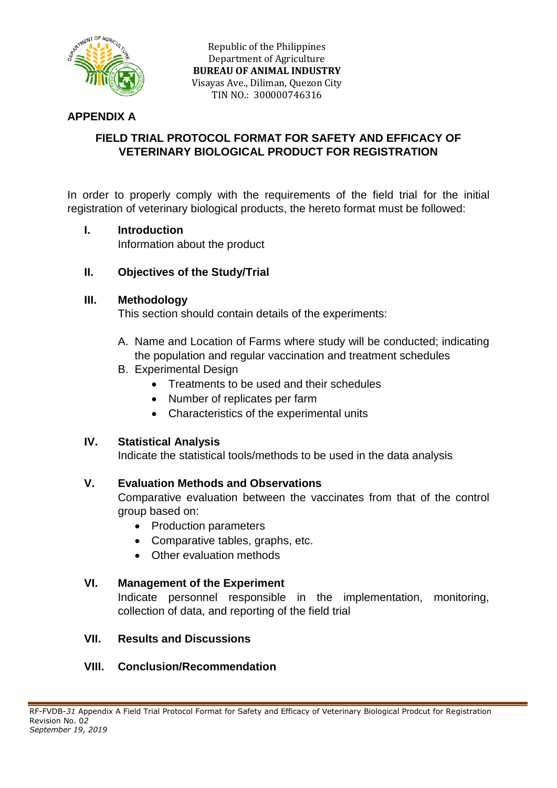

Republic of the Philippines Department of Agriculture **BUREAU OF ANIMAL INDUSTRY** Visayas Ave., Diliman, Quezon City TIN NO.: 300000746316

## **APPENDIX A**

# **FIELD TRIAL PROTOCOL FORMAT FOR SAFETY AND EFFICACY OF VETERINARY BIOLOGICAL PRODUCT FOR REGISTRATION**

In order to properly comply with the requirements of the field trial for the initial registration of veterinary biological products, the hereto format must be followed:

### **I. Introduction**

Information about the product

### **II. Objectives of the Study/Trial**

#### **III. Methodology**

This section should contain details of the experiments:

- A. Name and Location of Farms where study will be conducted; indicating the population and regular vaccination and treatment schedules
- B. Experimental Design
	- Treatments to be used and their schedules
	- Number of replicates per farm
	- Characteristics of the experimental units

### **IV. Statistical Analysis**

Indicate the statistical tools/methods to be used in the data analysis

### **V. Evaluation Methods and Observations**

Comparative evaluation between the vaccinates from that of the control group based on:

- Production parameters
- Comparative tables, graphs, etc.
- Other evaluation methods

### **VI. Management of the Experiment**

Indicate personnel responsible in the implementation, monitoring, collection of data, and reporting of the field trial

### **VII. Results and Discussions**

### **VIII. Conclusion/Recommendation**